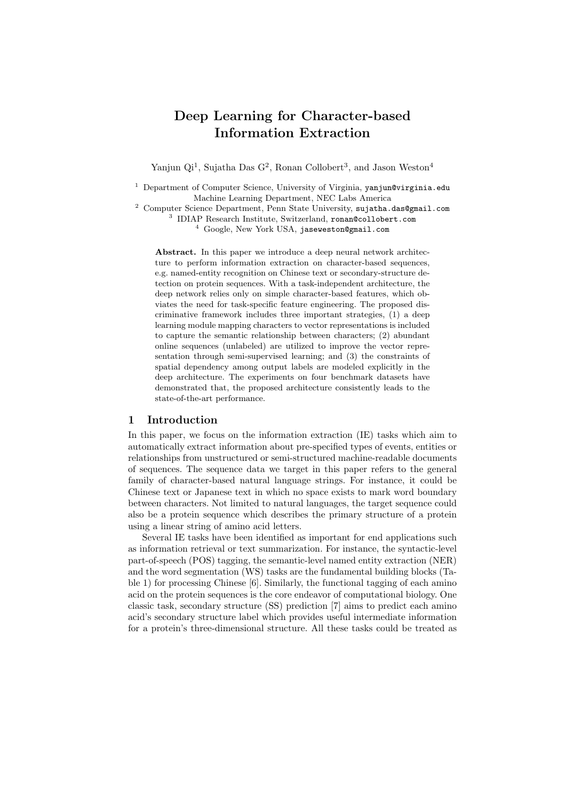# Deep Learning for Character-based Information Extraction

Yanjun  $Qi<sup>1</sup>$ , Sujatha Das  $G<sup>2</sup>$ , Ronan Collobert<sup>3</sup>, and Jason Weston<sup>4</sup>

<sup>1</sup> Department of Computer Science, University of Virginia, yanjun@virginia.edu Machine Learning Department, NEC Labs America

<sup>2</sup> Computer Science Department, Penn State University, sujatha.das@gmail.com 3 IDIAP Research Institute, Switzerland, ronan@collobert.com

<sup>4</sup> Google, New York USA, jaseweston@gmail.com

Abstract. In this paper we introduce a deep neural network architecture to perform information extraction on character-based sequences, e.g. named-entity recognition on Chinese text or secondary-structure detection on protein sequences. With a task-independent architecture, the deep network relies only on simple character-based features, which obviates the need for task-specific feature engineering. The proposed discriminative framework includes three important strategies, (1) a deep learning module mapping characters to vector representations is included to capture the semantic relationship between characters; (2) abundant online sequences (unlabeled) are utilized to improve the vector representation through semi-supervised learning; and (3) the constraints of spatial dependency among output labels are modeled explicitly in the deep architecture. The experiments on four benchmark datasets have demonstrated that, the proposed architecture consistently leads to the state-of-the-art performance.

### 1 Introduction

In this paper, we focus on the information extraction (IE) tasks which aim to automatically extract information about pre-specified types of events, entities or relationships from unstructured or semi-structured machine-readable documents of sequences. The sequence data we target in this paper refers to the general family of character-based natural language strings. For instance, it could be Chinese text or Japanese text in which no space exists to mark word boundary between characters. Not limited to natural languages, the target sequence could also be a protein sequence which describes the primary structure of a protein using a linear string of amino acid letters.

Several IE tasks have been identified as important for end applications such as information retrieval or text summarization. For instance, the syntactic-level part-of-speech (POS) tagging, the semantic-level named entity extraction (NER) and the word segmentation (WS) tasks are the fundamental building blocks (Table 1) for processing Chinese [6]. Similarly, the functional tagging of each amino acid on the protein sequences is the core endeavor of computational biology. One classic task, secondary structure (SS) prediction [7] aims to predict each amino acid's secondary structure label which provides useful intermediate information for a protein's three-dimensional structure. All these tasks could be treated as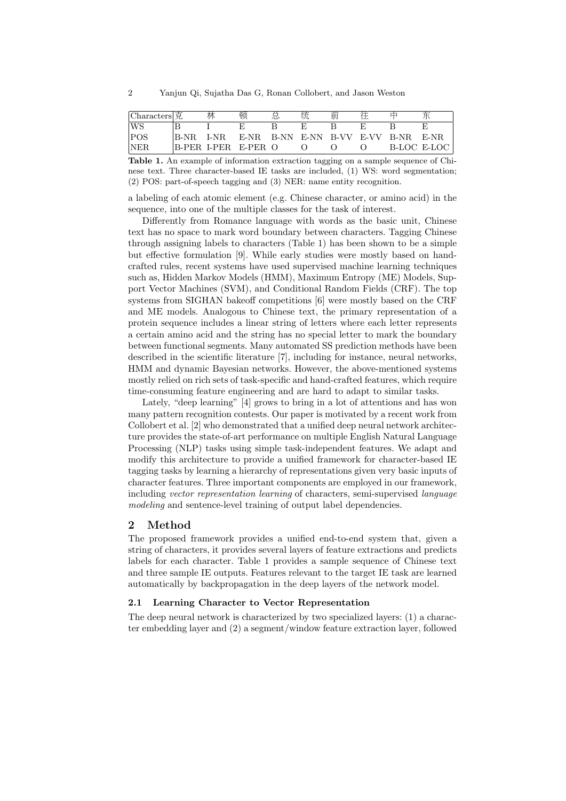| Characters 克 |           |                     |  | 肛 |                                    |             |
|--------------|-----------|---------------------|--|---|------------------------------------|-------------|
| lWS          |           |                     |  |   |                                    |             |
| POS          | B-NR I-NR |                     |  |   | E-NR B-NN E-NN B-VV E-VV B-NR E-NR |             |
| NER.         |           | B-PER I-PER E-PER O |  |   |                                    | B-LOC E-LOC |

Table 1. An example of information extraction tagging on a sample sequence of Chinese text. Three character-based IE tasks are included, (1) WS: word segmentation; (2) POS: part-of-speech tagging and (3) NER: name entity recognition.

a labeling of each atomic element (e.g. Chinese character, or amino acid) in the sequence, into one of the multiple classes for the task of interest.

Differently from Romance language with words as the basic unit, Chinese text has no space to mark word boundary between characters. Tagging Chinese through assigning labels to characters (Table 1) has been shown to be a simple but effective formulation [9]. While early studies were mostly based on handcrafted rules, recent systems have used supervised machine learning techniques such as, Hidden Markov Models (HMM), Maximum Entropy (ME) Models, Support Vector Machines (SVM), and Conditional Random Fields (CRF). The top systems from SIGHAN bakeoff competitions [6] were mostly based on the CRF and ME models. Analogous to Chinese text, the primary representation of a protein sequence includes a linear string of letters where each letter represents a certain amino acid and the string has no special letter to mark the boundary between functional segments. Many automated SS prediction methods have been described in the scientific literature [7], including for instance, neural networks, HMM and dynamic Bayesian networks. However, the above-mentioned systems mostly relied on rich sets of task-specific and hand-crafted features, which require time-consuming feature engineering and are hard to adapt to similar tasks.

Lately, "deep learning" [4] grows to bring in a lot of attentions and has won many pattern recognition contests. Our paper is motivated by a recent work from Collobert et al. [2] who demonstrated that a unified deep neural network architecture provides the state-of-art performance on multiple English Natural Language Processing (NLP) tasks using simple task-independent features. We adapt and modify this architecture to provide a unified framework for character-based IE tagging tasks by learning a hierarchy of representations given very basic inputs of character features. Three important components are employed in our framework, including vector representation learning of characters, semi-supervised language modeling and sentence-level training of output label dependencies.

#### 2 Method

The proposed framework provides a unified end-to-end system that, given a string of characters, it provides several layers of feature extractions and predicts labels for each character. Table 1 provides a sample sequence of Chinese text and three sample IE outputs. Features relevant to the target IE task are learned automatically by backpropagation in the deep layers of the network model.

#### 2.1 Learning Character to Vector Representation

The deep neural network is characterized by two specialized layers: (1) a character embedding layer and (2) a segment/window feature extraction layer, followed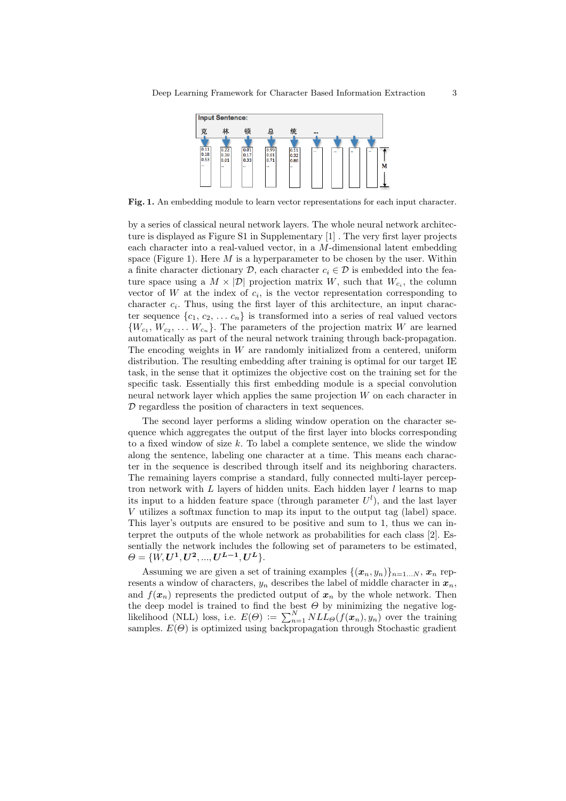

Fig. 1. An embedding module to learn vector representations for each input character.

by a series of classical neural network layers. The whole neural network architecture is displayed as Figure S1 in Supplementary [1] . The very first layer projects each character into a real-valued vector, in a  $M$ -dimensional latent embedding space (Figure 1). Here M is a hyperparameter to be chosen by the user. Within a finite character dictionary  $D$ , each character  $c_i \in D$  is embedded into the feature space using a  $M \times |\mathcal{D}|$  projection matrix W, such that  $W_{c_i}$ , the column vector of  $W$  at the index of  $c_i$ , is the vector representation corresponding to character  $c_i$ . Thus, using the first layer of this architecture, an input character sequence  $\{c_1, c_2, \ldots c_n\}$  is transformed into a series of real valued vectors  ${W_{c_1}, W_{c_2}, \ldots W_{c_n}}$ . The parameters of the projection matrix W are learned automatically as part of the neural network training through back-propagation. The encoding weights in  $W$  are randomly initialized from a centered, uniform distribution. The resulting embedding after training is optimal for our target IE task, in the sense that it optimizes the objective cost on the training set for the specific task. Essentially this first embedding module is a special convolution neural network layer which applies the same projection  $W$  on each character in  $D$  regardless the position of characters in text sequences.

The second layer performs a sliding window operation on the character sequence which aggregates the output of the first layer into blocks corresponding to a fixed window of size  $k$ . To label a complete sentence, we slide the window along the sentence, labeling one character at a time. This means each character in the sequence is described through itself and its neighboring characters. The remaining layers comprise a standard, fully connected multi-layer perceptron network with  $L$  layers of hidden units. Each hidden layer  $l$  learns to map its input to a hidden feature space (through parameter  $U<sup>l</sup>$ ), and the last layer V utilizes a softmax function to map its input to the output tag (label) space. This layer's outputs are ensured to be positive and sum to 1, thus we can interpret the outputs of the whole network as probabilities for each class [2]. Essentially the network includes the following set of parameters to be estimated,  $\Theta = \{W, U^1, U^2, ..., U^{L-1}, U^L\}.$ 

Assuming we are given a set of training examples  $\{(\boldsymbol{x}_n, y_n)\}_{n=1...N}$ ,  $\boldsymbol{x}_n$  represents a window of characters,  $y_n$  describes the label of middle character in  $x_n$ , and  $f(x_n)$  represents the predicted output of  $x_n$  by the whole network. Then the deep model is trained to find the best  $\Theta$  by minimizing the negative loglikelihood (NLL) loss, i.e.  $E(\Theta) := \sum_{n=1}^{N} NLL_{\Theta}(f(\boldsymbol{x}_n), y_n)$  over the training samples.  $E(\Theta)$  is optimized using backpropagation through Stochastic gradient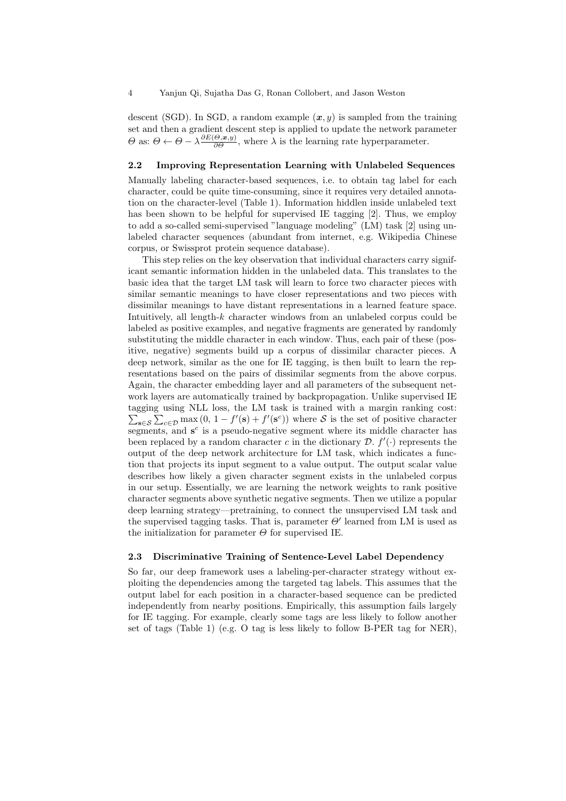descent (SGD). In SGD, a random example  $(x, y)$  is sampled from the training set and then a gradient descent step is applied to update the network parameter  $\Theta$  as:  $\Theta \leftarrow \Theta - \lambda \frac{\partial E(\Theta, x, y)}{\partial \Theta}$ , where  $\lambda$  is the learning rate hyperparameter.

#### 2.2 Improving Representation Learning with Unlabeled Sequences

Manually labeling character-based sequences, i.e. to obtain tag label for each character, could be quite time-consuming, since it requires very detailed annotation on the character-level (Table 1). Information hiddlen inside unlabeled text has been shown to be helpful for supervised IE tagging [2]. Thus, we employ to add a so-called semi-supervised "language modeling" (LM) task [2] using unlabeled character sequences (abundant from internet, e.g. Wikipedia Chinese corpus, or Swissprot protein sequence database).

This step relies on the key observation that individual characters carry significant semantic information hidden in the unlabeled data. This translates to the basic idea that the target LM task will learn to force two character pieces with similar semantic meanings to have closer representations and two pieces with dissimilar meanings to have distant representations in a learned feature space. Intuitively, all length-k character windows from an unlabeled corpus could be labeled as positive examples, and negative fragments are generated by randomly substituting the middle character in each window. Thus, each pair of these (positive, negative) segments build up a corpus of dissimilar character pieces. A deep network, similar as the one for IE tagging, is then built to learn the representations based on the pairs of dissimilar segments from the above corpus. Again, the character embedding layer and all parameters of the subsequent network layers are automatically trained by backpropagation. Unlike supervised IE tagging using NLL loss, the LM task is trained with a margin ranking cost:  $\sum_{s\in\mathcal{S}}\sum_{c\in\mathcal{D}}\max(0, 1-f'(\mathbf{s})+f'(\mathbf{s}^c))$  where S is the set of positive character segments, and  $s^c$  is a pseudo-negative segment where its middle character has been replaced by a random character c in the dictionary  $\mathcal{D}$ .  $f'(\cdot)$  represents the output of the deep network architecture for LM task, which indicates a function that projects its input segment to a value output. The output scalar value describes how likely a given character segment exists in the unlabeled corpus in our setup. Essentially, we are learning the network weights to rank positive character segments above synthetic negative segments. Then we utilize a popular deep learning strategy—pretraining, to connect the unsupervised LM task and the supervised tagging tasks. That is, parameter  $\Theta'$  learned from LM is used as the initialization for parameter  $\Theta$  for supervised IE.

#### 2.3 Discriminative Training of Sentence-Level Label Dependency

So far, our deep framework uses a labeling-per-character strategy without exploiting the dependencies among the targeted tag labels. This assumes that the output label for each position in a character-based sequence can be predicted independently from nearby positions. Empirically, this assumption fails largely for IE tagging. For example, clearly some tags are less likely to follow another set of tags (Table 1) (e.g. O tag is less likely to follow B-PER tag for NER),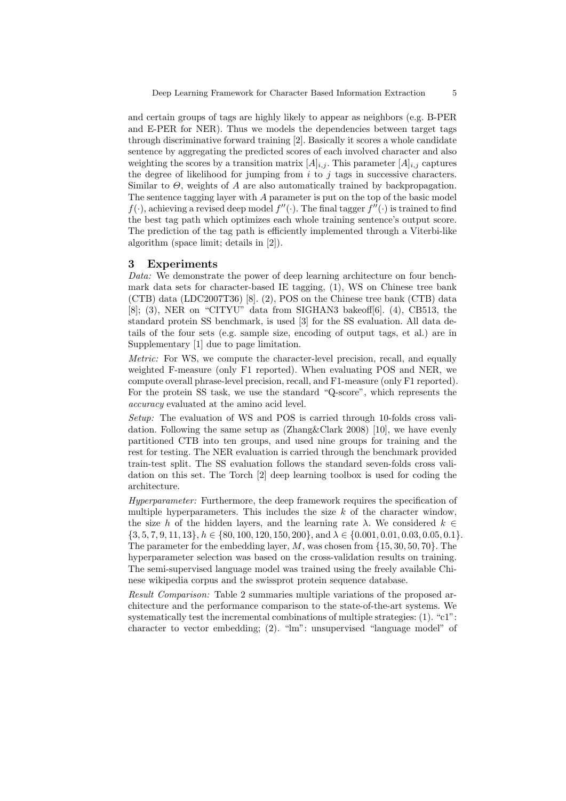and certain groups of tags are highly likely to appear as neighbors (e.g. B-PER and E-PER for NER). Thus we models the dependencies between target tags through discriminative forward training [2]. Basically it scores a whole candidate sentence by aggregating the predicted scores of each involved character and also weighting the scores by a transition matrix  $[A]_{i,j}$ . This parameter  $[A]_{i,j}$  captures the degree of likelihood for jumping from  $i$  to  $j$  tags in successive characters. Similar to  $\Theta$ , weights of A are also automatically trained by backpropagation. The sentence tagging layer with A parameter is put on the top of the basic model  $f(\cdot)$ , achieving a revised deep model  $f''(\cdot)$ . The final tagger  $f''(\cdot)$  is trained to find the best tag path which optimizes each whole training sentence's output score. The prediction of the tag path is efficiently implemented through a Viterbi-like algorithm (space limit; details in [2]).

### 3 Experiments

Data: We demonstrate the power of deep learning architecture on four benchmark data sets for character-based IE tagging, (1), WS on Chinese tree bank (CTB) data (LDC2007T36) [8]. (2), POS on the Chinese tree bank (CTB) data  $[8]$ ; (3), NER on "CITYU" data from SIGHAN3 bakeoff $[6]$ . (4), CB513, the standard protein SS benchmark, is used [3] for the SS evaluation. All data details of the four sets (e.g. sample size, encoding of output tags, et al.) are in Supplementary [1] due to page limitation.

Metric: For WS, we compute the character-level precision, recall, and equally weighted F-measure (only F1 reported). When evaluating POS and NER, we compute overall phrase-level precision, recall, and F1-measure (only F1 reported). For the protein SS task, we use the standard "Q-score", which represents the accuracy evaluated at the amino acid level.

Setup: The evaluation of WS and POS is carried through 10-folds cross validation. Following the same setup as (Zhang&Clark 2008) [10], we have evenly partitioned CTB into ten groups, and used nine groups for training and the rest for testing. The NER evaluation is carried through the benchmark provided train-test split. The SS evaluation follows the standard seven-folds cross validation on this set. The Torch [2] deep learning toolbox is used for coding the architecture.

Hyperparameter: Furthermore, the deep framework requires the specification of multiple hyperparameters. This includes the size  $k$  of the character window, the size h of the hidden layers, and the learning rate  $\lambda$ . We considered  $k \in$  $\{3, 5, 7, 9, 11, 13\}, h \in \{80, 100, 120, 150, 200\}, \text{and } \lambda \in \{0.001, 0.01, 0.03, 0.05, 0.1\}.$ The parameter for the embedding layer,  $M$ , was chosen from  $\{15, 30, 50, 70\}$ . The hyperparameter selection was based on the cross-validation results on training. The semi-supervised language model was trained using the freely available Chinese wikipedia corpus and the swissprot protein sequence database.

Result Comparison: Table 2 summaries multiple variations of the proposed architecture and the performance comparison to the state-of-the-art systems. We systematically test the incremental combinations of multiple strategies: (1). "c1": character to vector embedding; (2). "lm": unsupervised "language model" of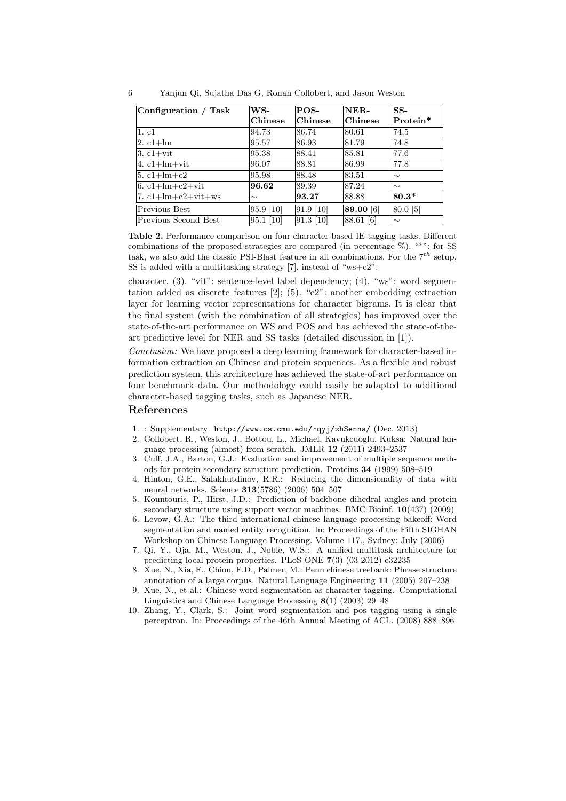6 Yanjun Qi, Sujatha Das G, Ronan Collobert, and Jason Weston

| Configuration / Task         | WS-       | POS-        | $NER-$           | $SS-$    |
|------------------------------|-----------|-------------|------------------|----------|
|                              | Chinese   | Chinese     | $ {\rm Chinese}$ | Protein* |
| 1. c1                        | 94.73     | 86.74       | 80.61            | 74.5     |
| $2. c1+Im$                   | 95.57     | 86.93       | 81.79            | 74.8     |
| $3. c1+vit$                  | 95.38     | 88.41       | 85.81            | 77.6     |
| 4. $c1+lm+vit$               | 96.07     | 88.81       | 86.99            | 77.8     |
| $5. c1 + lm + c2$            | 95.98     | 88.48       | 83.51            | $\sim$   |
| $6. c1+lm+c2+vit$            | 96.62     | 89.39       | 87.24            | $\sim$   |
| 7. $c1 + lm + c2 + vit + ws$ | $\sim$    | 93.27       | 88.88            | $80.3*$  |
| Previous Best                | 95.9 [10] | $91.9$ [10] | 89.00 [6]        | 80.0 [5] |
| Previous Second Best         | 95.1 [10] | $91.3$ [10] | $[88.61]$ [6]    | $\sim$   |

Table 2. Performance comparison on four character-based IE tagging tasks. Different combinations of the proposed strategies are compared (in percentage  $\%$ ). "\*": for SS task, we also add the classic PSI-Blast feature in all combinations. For the  $7<sup>th</sup>$  setup, SS is added with a multitasking strategy [7], instead of "ws+ $c2$ ".

character. (3). "vit": sentence-level label dependency; (4). "ws": word segmentation added as discrete features [2]; (5). "c2": another embedding extraction layer for learning vector representations for character bigrams. It is clear that the final system (with the combination of all strategies) has improved over the state-of-the-art performance on WS and POS and has achieved the state-of-theart predictive level for NER and SS tasks (detailed discussion in [1]).

Conclusion: We have proposed a deep learning framework for character-based information extraction on Chinese and protein sequences. As a flexible and robust prediction system, this architecture has achieved the state-of-art performance on four benchmark data. Our methodology could easily be adapted to additional character-based tagging tasks, such as Japanese NER.

#### References

- 1. : Supplementary. http://www.cs.cmu.edu/~qyj/zhSenna/ (Dec. 2013)
- 2. Collobert, R., Weston, J., Bottou, L., Michael, Kavukcuoglu, Kuksa: Natural language processing (almost) from scratch. JMLR 12 (2011) 2493–2537
- 3. Cuff, J.A., Barton, G.J.: Evaluation and improvement of multiple sequence methods for protein secondary structure prediction. Proteins 34 (1999) 508–519
- 4. Hinton, G.E., Salakhutdinov, R.R.: Reducing the dimensionality of data with neural networks. Science 313(5786) (2006) 504–507
- 5. Kountouris, P., Hirst, J.D.: Prediction of backbone dihedral angles and protein secondary structure using support vector machines. BMC Bioinf. 10(437) (2009)
- 6. Levow, G.A.: The third international chinese language processing bakeoff: Word segmentation and named entity recognition. In: Proceedings of the Fifth SIGHAN Workshop on Chinese Language Processing. Volume 117., Sydney: July (2006)
- 7. Qi, Y., Oja, M., Weston, J., Noble, W.S.: A unified multitask architecture for predicting local protein properties. PLoS ONE 7(3) (03 2012) e32235
- 8. Xue, N., Xia, F., Chiou, F.D., Palmer, M.: Penn chinese treebank: Phrase structure annotation of a large corpus. Natural Language Engineering 11 (2005) 207–238
- 9. Xue, N., et al.: Chinese word segmentation as character tagging. Computational Linguistics and Chinese Language Processing 8(1) (2003) 29–48
- 10. Zhang, Y., Clark, S.: Joint word segmentation and pos tagging using a single perceptron. In: Proceedings of the 46th Annual Meeting of ACL. (2008) 888–896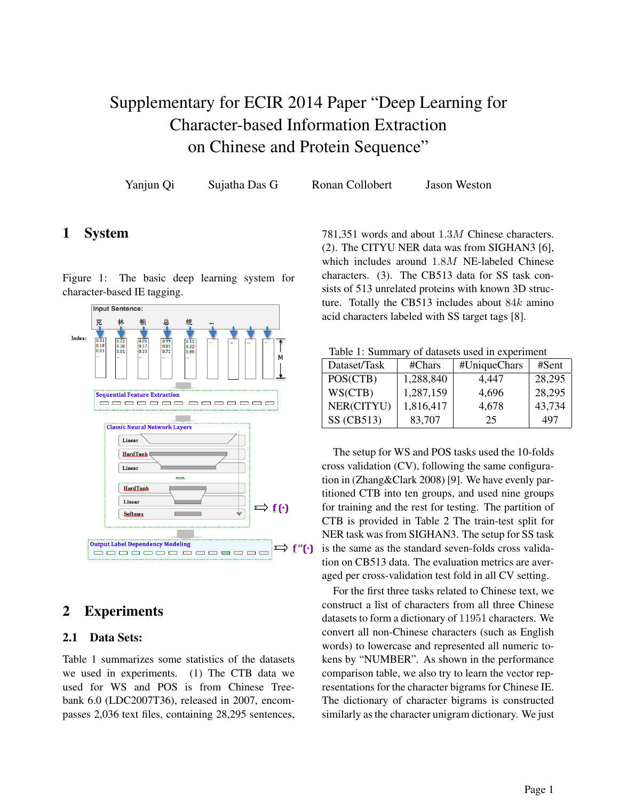# Supplementary for ECIR 2014 Paper "Deep Learning for Character-based Information Extraction on Chinese and Protein Sequence"

Yanjun Qi Sujatha Das G Ronan Collobert Jason Weston

# 1 System

Figure 1: The basic deep learning system for character-based IE tagging.



# 2 Experiments

### 2.1 Data Sets:

Table 1 summarizes some statistics of the datasets we used in experiments. (1) The CTB data we used for WS and POS is from Chinese Treebank 6.0 (LDC2007T36), released in 2007, encompasses 2,036 text files, containing 28,295 sentences, 781,351 words and about 1.3M Chinese characters. (2). The CITYU NER data was from SIGHAN3 [6], which includes around 1.8M NE-labeled Chinese characters. (3). The CB513 data for SS task consists of 513 unrelated proteins with known 3D structure. Totally the CB513 includes about 84k amino acid characters labeled with SS target tags [8].

Table 1: Summary of datasets used in experiment

| Dataset/Task      | #Chars    | #UniqueChars | #Sent  |
|-------------------|-----------|--------------|--------|
| POS(CTB)          | 1,288,840 | 4,447        | 28,295 |
| WS(CTB)           | 1,287,159 | 4,696        | 28,295 |
| NER(CITYU)        | 1,816,417 | 4,678        | 43,734 |
| <b>SS (CB513)</b> | 83,707    | 25           | 497    |

The setup for WS and POS tasks used the 10-folds cross validation (CV), following the same configuration in (Zhang&Clark 2008) [9]. We have evenly partitioned CTB into ten groups, and used nine groups for training and the rest for testing. The partition of CTB is provided in Table 2 The train-test split for NER task was from SIGHAN3. The setup for SS task is the same as the standard seven-folds cross validation on CB513 data. The evaluation metrics are averaged per cross-validation test fold in all CV setting.

For the first three tasks related to Chinese text, we construct a list of characters from all three Chinese datasets to form a dictionary of 11951 characters. We convert all non-Chinese characters (such as English words) to lowercase and represented all numeric tokens by "NUMBER". As shown in the performance comparison table, we also try to learn the vector representations for the character bigrams for Chinese IE. The dictionary of character bigrams is constructed similarly as the character unigram dictionary. We just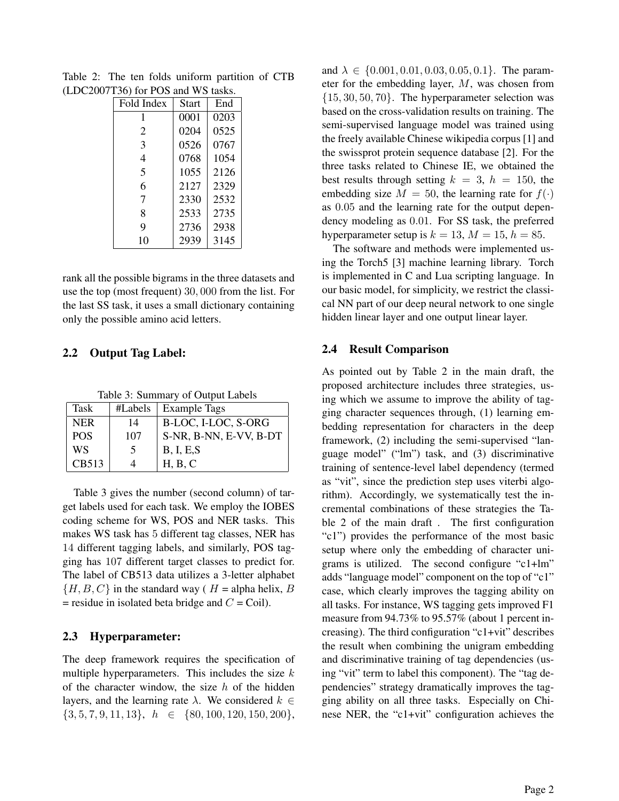| 130) for POS and WS tasks. |              |      |  |  |
|----------------------------|--------------|------|--|--|
| Fold Index                 | <b>Start</b> | End  |  |  |
| 1                          | 0001         | 0203 |  |  |
| 2                          | 0204         | 0525 |  |  |
| 3                          | 0526         | 0767 |  |  |
| 4                          | 0768         | 1054 |  |  |
| 5                          | 1055         | 2126 |  |  |
| 6                          | 2127         | 2329 |  |  |
| 7                          | 2330         | 2532 |  |  |
| 8                          | 2533         | 2735 |  |  |
| 9                          | 2736         | 2938 |  |  |
| 10                         | 2939         | 3145 |  |  |

Table 2: The ten folds uniform partition of CTB (LDC2007T36) for POS and WS tasks.

rank all the possible bigrams in the three datasets and use the top (most frequent) 30, 000 from the list. For the last SS task, it uses a small dictionary containing only the possible amino acid letters.

### 2.2 Output Tag Label:

|  | Table 3: Summary of Output Labels |  |
|--|-----------------------------------|--|
|  |                                   |  |

| Task       | #Labels | Example Tags           |
|------------|---------|------------------------|
| <b>NER</b> | 14      | B-LOC, I-LOC, S-ORG    |
| POS.       | 107     | S-NR, B-NN, E-VV, B-DT |
| WS         | 5       | B, I, E, S             |
| CB513      |         | H, B, C                |

Table 3 gives the number (second column) of target labels used for each task. We employ the IOBES coding scheme for WS, POS and NER tasks. This makes WS task has 5 different tag classes, NER has 14 different tagging labels, and similarly, POS tagging has 107 different target classes to predict for. The label of CB513 data utilizes a 3-letter alphabet  $\{H, B, C\}$  in the standard way ( $H =$ alpha helix, B  $=$  residue in isolated beta bridge and  $C =$  Coil).

### 2.3 Hyperparameter:

The deep framework requires the specification of multiple hyperparameters. This includes the size  $k$ of the character window, the size  $h$  of the hidden layers, and the learning rate  $\lambda$ . We considered  $k \in$  $\{3, 5, 7, 9, 11, 13\}, h \in \{80, 100, 120, 150, 200\},\$ 

and  $\lambda \in \{0.001, 0.01, 0.03, 0.05, 0.1\}$ . The parameter for the embedding layer, M, was chosen from  $\{15, 30, 50, 70\}$ . The hyperparameter selection was based on the cross-validation results on training. The semi-supervised language model was trained using the freely available Chinese wikipedia corpus [1] and the swissprot protein sequence database [2]. For the three tasks related to Chinese IE, we obtained the best results through setting  $k = 3$ ,  $h = 150$ , the embedding size  $M = 50$ , the learning rate for  $f(·)$ as 0.05 and the learning rate for the output dependency modeling as 0.01. For SS task, the preferred hyperparameter setup is  $k = 13$ ,  $M = 15$ ,  $h = 85$ .

The software and methods were implemented using the Torch5 [3] machine learning library. Torch is implemented in C and Lua scripting language. In our basic model, for simplicity, we restrict the classical NN part of our deep neural network to one single hidden linear layer and one output linear layer.

### 2.4 Result Comparison

As pointed out by Table 2 in the main draft, the proposed architecture includes three strategies, using which we assume to improve the ability of tagging character sequences through, (1) learning embedding representation for characters in the deep framework, (2) including the semi-supervised "language model" ("lm") task, and (3) discriminative training of sentence-level label dependency (termed as "vit", since the prediction step uses viterbi algorithm). Accordingly, we systematically test the incremental combinations of these strategies the Table 2 of the main draft . The first configuration "c1") provides the performance of the most basic setup where only the embedding of character unigrams is utilized. The second configure "c1+lm" adds "language model" component on the top of "c1" case, which clearly improves the tagging ability on all tasks. For instance, WS tagging gets improved F1 measure from 94.73% to 95.57% (about 1 percent increasing). The third configuration "c1+vit" describes the result when combining the unigram embedding and discriminative training of tag dependencies (using "vit" term to label this component). The "tag dependencies" strategy dramatically improves the tagging ability on all three tasks. Especially on Chinese NER, the "c1+vit" configuration achieves the